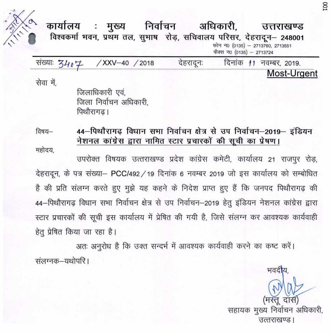

निर्वाचन अधिकारी, कार्यालय मुख्य  $\ddot{\phantom{a}}$ उत्तराखण्ड विश्वकर्मा भवन, प्रथम तल, सुभाष रोड़, सचिवालय परिसर, देहरादून - 248001 फोन न0 (0135) - 2713760, 2713551 फैक्स न0 (0135) - 2713724

| सख्याः 7407 | XXV-40 / 2018 | देहरादूनः |  | दिनांक 11 नवम्बर, 2019. |             |  |
|-------------|---------------|-----------|--|-------------------------|-------------|--|
|             |               |           |  |                         | Most-Urgent |  |

सेवा में.

जिलाधिकारी एवं, जिला निर्वाचन अधिकारी. पिथौरागढ।

44-पिथौरागढ विधान सभा निर्वाचन क्षेत्र से उप निर्वाचन-2019- इंडियन विषय— नेशनल कांग्रेस द्वारा नामित स्टार प्रचारकों की सूची का प्रेषण।

महोदय.

उपरोक्त विषयक उत्तराखण्ड प्रदेश कांग्रेस कमेटी, कार्यालय 21 राजपुर रोड़, देहरादून, के पत्र संख्या– PCC/492 / 19 दिनांक 6 नवम्बर 2019 जो इस कार्यालय को सम्बोधित है की प्रति संलग्न करते हुए मुझे यह कहने के निदेश प्राप्त हुए हैं कि जनपद पिथौरागढ़ की 44–पिथौरागढ़ विधान सभा निर्वाचन क्षेत्र से उप निर्वाचन–2019 हेतु इंडियन नेशनल कांग्रेस द्वारा स्टार प्रचारकों की सूची इस कार्यालय में प्रेषित की गयी है, जिसे संलग्न कर आवश्यक कार्यवाही हेतु प्रेषित किया जा रहा है।

अतः अनुरोध है कि उक्त सन्दर्भ में आवश्यक कार्यवाही करने का कष्ट करें। संलग्नक–यथोपरि ।

भवदीय सहायक मुख्य निर्वाचन अधिकारी. उत्तराखण्ड।

**CO**